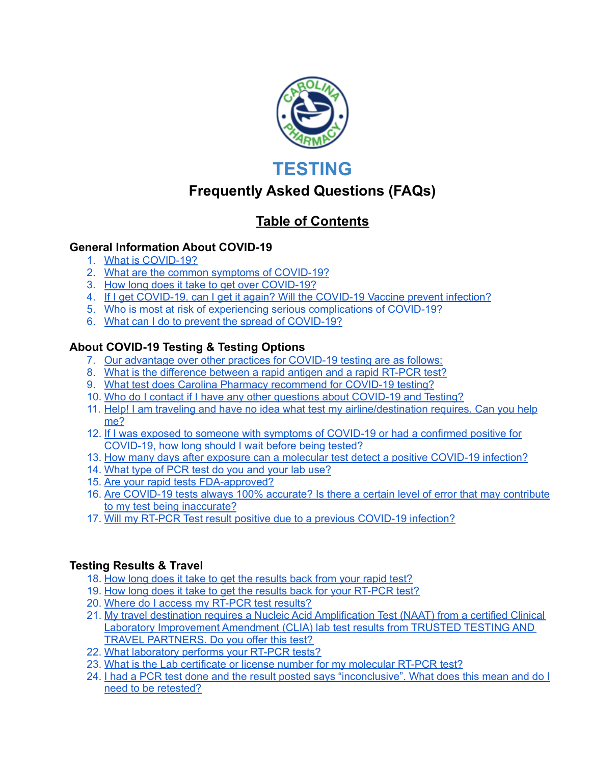

# **TESTING**

## **Frequently Asked Questions (FAQs)**

## **Table of Contents**

#### **General Information About COVID-19**

- 1. What is [COVID-19?](#page-2-0)
- 2. What are the common symptoms of [COVID-19?](#page-2-1)
- 3. How long does it take to get over [COVID-19?](#page-2-2)
- 4. If I get [COVID-19,](#page-2-3) can I get it again? Will the COVID-19 Vaccine prevent infection?
- 5. Who is most at risk of experiencing serious [complications](#page-3-0) of COVID-19?
- 6. What can I do to prevent the spread of [COVID-19?](#page-3-1)

## **About COVID-19 Testing & Testing Options**

- 7. Our [advantage](#page-3-2) over other practices for COVID-19 testing are as follows:
- 8. What is the [difference](#page-4-0) between a rapid antigen and a rapid RT-PCR test?
- 9. What test does Carolina Pharmacy [recommend](#page-6-0) for COVID-19 testing?
- 10. Who do I contact if I have any other questions about [COVID-19](#page-6-1) and Testing?
- 11. Help! I am traveling and have no idea what test my [airline/destination](#page-6-2) requires. Can you help [me?](#page-6-2)
- 12. If I was exposed to someone with symptoms of [COVID-19](#page-6-3) or had a confirmed positive for [COVID-19,](#page-6-3) how long should I wait before being tested?
- 13. How many days after exposure can a molecular test detect a positive [COVID-19](#page-7-0) infection?
- 14. [What](#page-7-1) type of PCR test do you and your lab use?
- 15. Are your rapid tests [FDA-approved?](#page-7-2)
- 16. Are [COVID-19](#page-8-0) tests always 100% accurate? Is there a certain level of error that may contribute to my test being [inaccurate?](#page-8-0)
- 17. Will my RT-PCR Test result positive due to a previous COVID-19 infection?

#### **Testing Results & Travel**

- 18. How long does it take to get the [results](#page-8-1) back from your rapid test?
- 19. How long does it take to get the results back for your [RT-PCR](#page-8-2) test?
- 20. Where do I access my [RT-PCR](#page-9-0) test results?
- 21. My travel destination requires a Nucleic Acid [Amplification](#page-9-1) Test (NAAT) from a certified Clinical Laboratory [Improvement](#page-9-1) Amendment (CLIA) lab test results from TRUSTED TESTING AND TRAVEL [PARTNERS.](#page-9-1) Do you offer this test?
- 22. What [laboratory](#page-9-2) performs your RT-PCR tests?
- 23. What is the Lab certificate or license number for my [molecular](#page-9-3) RT-PCR test?
- 24. I had a PCR test done and the result posted says ["inconclusive".](#page-12-0) What does this mean and do I need to be [retested?](#page-12-0)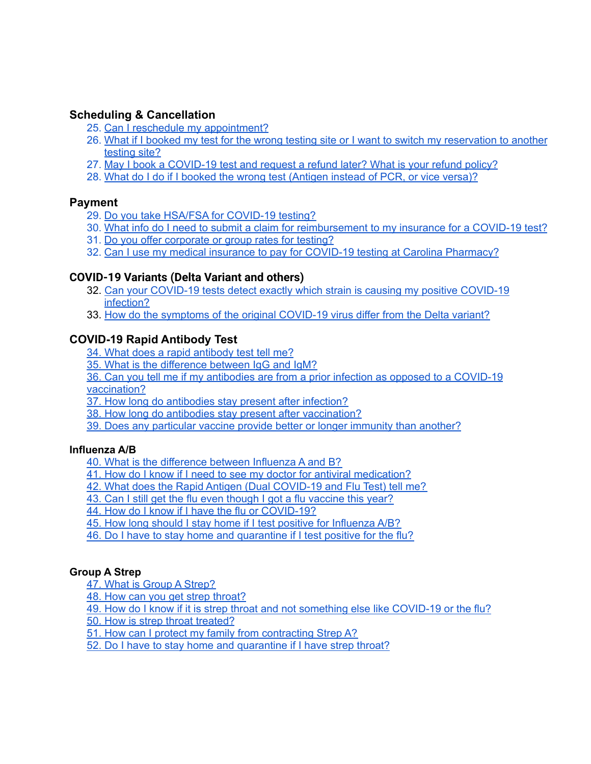#### **Scheduling & Cancellation**

- 25. Can I reschedule my [appointment?](#page-12-1)
- 26. What if I booked my test for the wrong testing site or I want to switch my [reservation](#page-12-2) to another [testing](#page-12-2) site?
- 27. May I book a [COVID-19](#page-12-3) test and request a refund later? What is your refund policy?
- 28. What do I do if I booked the wrong test [\(Antigen](#page-13-0) instead of PCR, or vice versa)?

#### **Payment**

- 29. Do you take HSA/FSA for [COVID-19](#page-13-1) testing?
- 30. What info do I need to submit a claim for [reimbursement](#page-13-2) to my insurance for a COVID-19 test?
- 31. Do you offer [corporate](#page-13-3) or group rates for testing?
- 32. Can I use my medical insurance to pay for COVID-19 testing at Carolina [Pharmacy?](#page-14-0)

#### **COVID-19 Variants (Delta Variant and others)**

- 32. Can your [COVID-19](#page-14-1) tests detect exactly which strain is causing my positive COVID-19 [infection?](#page-14-1)
- 33. How do the symptoms of the original [COVID-19](#page-15-0) virus differ from the Delta variant?

#### **COVID-19 Rapid Antibody Test**

- 34. What does a rapid [antibody](#page-15-1) test tell me?
- 35. What is the [difference](#page-15-2) between IgG and IgM?

36. Can you tell me if my antibodies are from a prior infection as opposed to a [COVID-19](#page-15-3) [vaccination?](#page-15-3)

- 37. How long do [antibodies](#page-16-0) stay present after infection?
- 38. How long do antibodies stay present after [vaccination?](#page-16-1)
- 39. Does any [particular](#page-16-2) vaccine provide better or longer immunity than another?

#### **Influenza A/B**

- 40. What is the [difference](#page-16-3) between Influenza A and B?
- 41. How do I know if I need to see my doctor for antiviral [medication?](#page-16-4)
- 42. What does the Rapid Antigen (Dual [COVID-19](#page-16-5) and Flu Test) tell me?
- 43. Can I still get the flu even though I got a flu [vaccine](#page-17-0) this year?
- 44. How do I know if I have the flu or [COVID-19?](#page-17-1)
- 45. How long should I stay home if I test positive for [Influenza](#page-17-2) A/B?
- 46. Do I have to stay home and [quarantine](#page-17-3) if I test positive for the flu?

#### **Group A Strep**

- 47. What is Group A [Strep?](#page-17-4)
- 48. How can you get strep [throat?](#page-17-5)
- 49. How do I know if it is strep throat and not something else like COVID-19 or the flu?
- 50. How is strep throat treated?
- 51. How can I protect my family from contracting Strep A?
- 52. Do I have to stay home and quarantine if I have strep throat?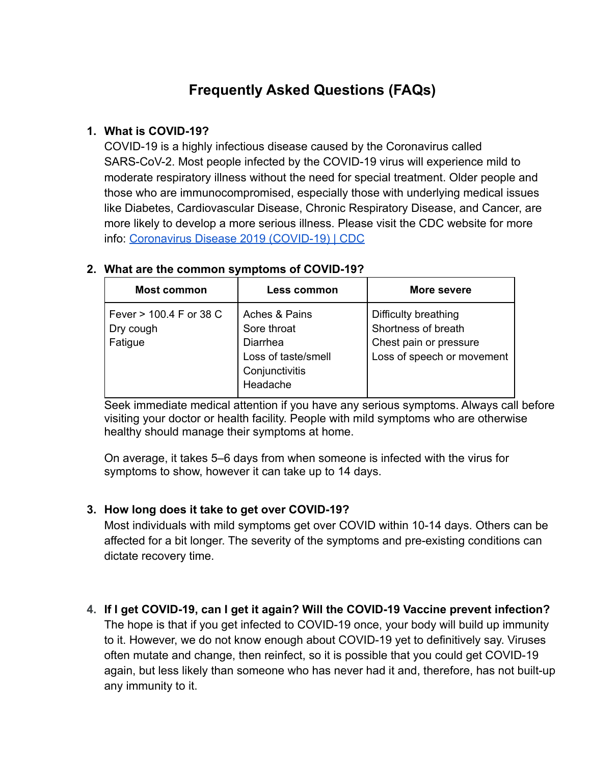# **Frequently Asked Questions (FAQs)**

## <span id="page-2-0"></span>**1. What is COVID-19?**

COVID-19 is a highly infectious disease caused by the Coronavirus called SARS-CoV-2. Most people infected by the COVID-19 virus will experience mild to moderate respiratory illness without the need for special treatment. Older people and those who are immunocompromised, especially those with underlying medical issues like Diabetes, Cardiovascular Disease, Chronic Respiratory Disease, and Cancer, are more likely to develop a more serious illness. Please visit the CDC website for more info: [Coronavirus Disease 2019 \(COVID-19\) | CDC](https://www.cdc.gov/coronavirus/2019-ncov/index.html)

| <b>Most common</b>                              | Less common                                                                                          | More severe                                                                                         |
|-------------------------------------------------|------------------------------------------------------------------------------------------------------|-----------------------------------------------------------------------------------------------------|
| Fever > 100.4 F or 38 C<br>Dry cough<br>Fatigue | Aches & Pains<br>Sore throat<br><b>Diarrhea</b><br>Loss of taste/smell<br>Conjunctivitis<br>Headache | Difficulty breathing<br>Shortness of breath<br>Chest pain or pressure<br>Loss of speech or movement |

#### <span id="page-2-1"></span>**2. What are the common symptoms of COVID-19?**

Seek immediate medical attention if you have any serious symptoms. Always call before visiting your doctor or health facility. People with mild symptoms who are otherwise healthy should manage their symptoms at home.

On average, it takes 5–6 days from when someone is infected with the virus for symptoms to show, however it can take up to 14 days.

## <span id="page-2-2"></span>**3. How long does it take to get over COVID-19?**

Most individuals with mild symptoms get over COVID within 10-14 days. Others can be affected for a bit longer. The severity of the symptoms and pre-existing conditions can dictate recovery time.

<span id="page-2-3"></span>**4. If I get COVID-19, can I get it again? Will the COVID-19 Vaccine prevent infection?** The hope is that if you get infected to COVID-19 once, your body will build up immunity to it. However, we do not know enough about COVID-19 yet to definitively say. Viruses often mutate and change, then reinfect, so it is possible that you could get COVID-19 again, but less likely than someone who has never had it and, therefore, has not built-up any immunity to it.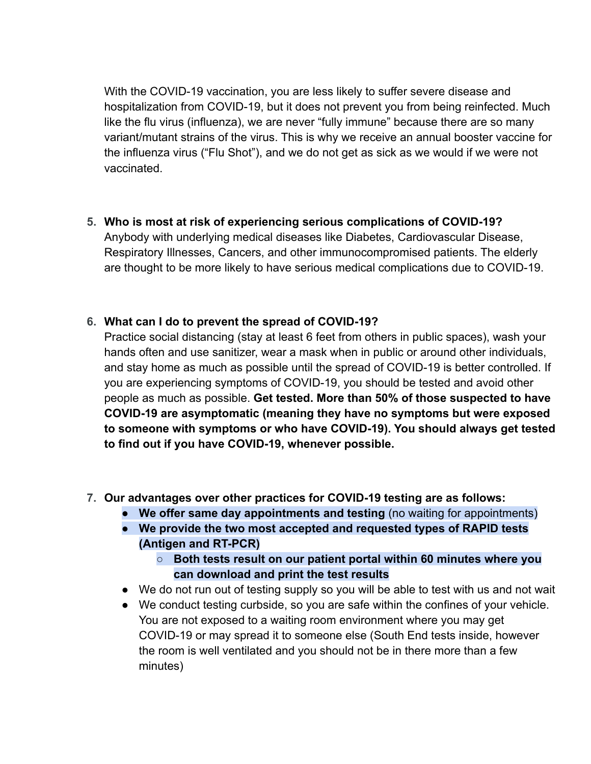With the COVID-19 vaccination, you are less likely to suffer severe disease and hospitalization from COVID-19, but it does not prevent you from being reinfected. Much like the flu virus (influenza), we are never "fully immune" because there are so many variant/mutant strains of the virus. This is why we receive an annual booster vaccine for the influenza virus ("Flu Shot"), and we do not get as sick as we would if we were not vaccinated.

<span id="page-3-0"></span>**5. Who is most at risk of experiencing serious complications of COVID-19?** Anybody with underlying medical diseases like Diabetes, Cardiovascular Disease, Respiratory Illnesses, Cancers, and other immunocompromised patients. The elderly are thought to be more likely to have serious medical complications due to COVID-19.

#### <span id="page-3-1"></span>**6. What can I do to prevent the spread of COVID-19?**

Practice social distancing (stay at least 6 feet from others in public spaces), wash your hands often and use sanitizer, wear a mask when in public or around other individuals, and stay home as much as possible until the spread of COVID-19 is better controlled. If you are experiencing symptoms of COVID-19, you should be tested and avoid other people as much as possible. **Get tested. More than 50% of those suspected to have COVID-19 are asymptomatic (meaning they have no symptoms but were exposed to someone with symptoms or who have COVID-19). You should always get tested to find out if you have COVID-19, whenever possible.**

- <span id="page-3-2"></span>**7. Our advantages over other practices for COVID-19 testing are as follows:**
	- **We offer same day appointments and testing** (no waiting for appointments)
	- **We provide the two most accepted and requested types of RAPID tests (Antigen and RT-PCR)**
		- **○ Both tests result on our patient portal within 60 minutes where you can download and print the test results**
	- We do not run out of testing supply so you will be able to test with us and not wait
	- We conduct testing curbside, so you are safe within the confines of your vehicle. You are not exposed to a waiting room environment where you may get COVID-19 or may spread it to someone else (South End tests inside, however the room is well ventilated and you should not be in there more than a few minutes)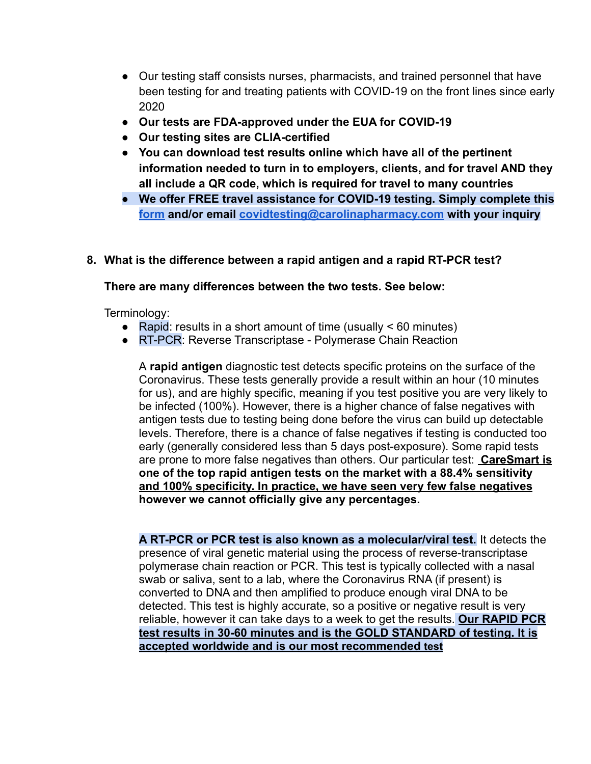- Our testing staff consists nurses, pharmacists, and trained personnel that have been testing for and treating patients with COVID-19 on the front lines since early 2020
- **Our tests are FDA-approved under the EUA for COVID-19**
- **Our testing sites are CLIA-certified**
- **You can download test results online which have all of the pertinent information needed to turn in to employers, clients, and for travel AND they all include a QR code, which is required for travel to many countries**
- **We offer FREE travel assistance for COVID-19 testing. Simply complete this [form](https://carolinapharmacy.com/travel-testing-assistance/) and/or email [covidtesting@carolinapharmacy.com](mailto:covidtesting@carolinapharmacy.com) with your inquiry**

#### <span id="page-4-0"></span>**8. What is the difference between a rapid antigen and a rapid RT-PCR test?**

#### **There are many differences between the two tests. See below:**

Terminology:

- Rapid: results in a short amount of time (usually  $\leq 60$  minutes)
- RT-PCR: Reverse Transcriptase Polymerase Chain Reaction

A **rapid antigen** diagnostic test detects specific proteins on the surface of the Coronavirus. These tests generally provide a result within an hour (10 minutes for us), and are highly specific, meaning if you test positive you are very likely to be infected (100%). However, there is a higher chance of false negatives with antigen tests due to testing being done before the virus can build up detectable levels. Therefore, there is a chance of false negatives if testing is conducted too early (generally considered less than 5 days post-exposure). Some rapid tests are prone to more false negatives than others. Our particular test: **CareSmart is one of the top rapid antigen tests on the market with a 88.4% sensitivity and 100% specificity. In practice, we have seen very few false negatives however we cannot officially give any percentages.**

**A RT-PCR or PCR test is also known as a molecular/viral test.** It detects the presence of viral genetic material using the process of reverse-transcriptase polymerase chain reaction or PCR. This test is typically collected with a nasal swab or saliva, sent to a lab, where the Coronavirus RNA (if present) is converted to DNA and then amplified to produce enough viral DNA to be detected. This test is highly accurate, so a positive or negative result is very reliable, however it can take days to a week to get the results. **Our RAPID PCR test results in 30-60 minutes and is the GOLD STANDARD of testing. It is accepted worldwide and is our most recommended test**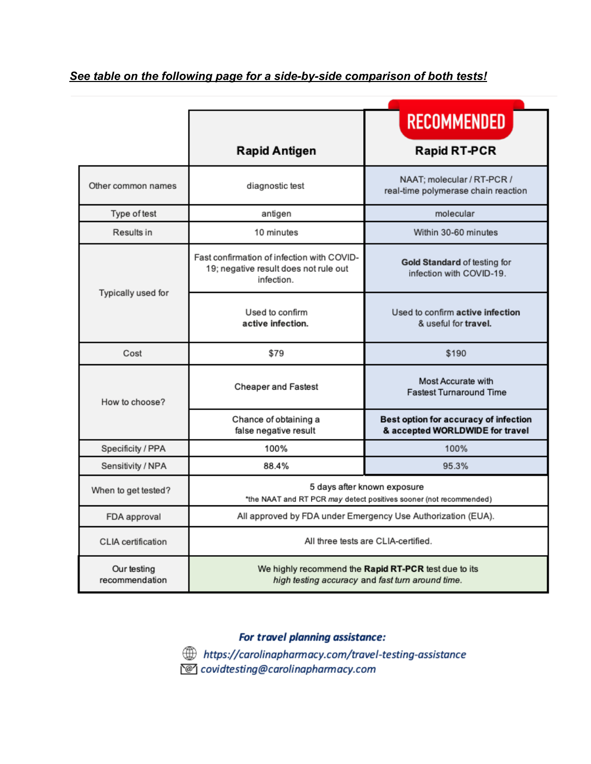*See table on the following page for a side-by-side comparison of both tests!*

|                               |                                                                                                          | <b>RECOMMENDED</b>                                                       |  |  |  |
|-------------------------------|----------------------------------------------------------------------------------------------------------|--------------------------------------------------------------------------|--|--|--|
|                               | <b>Rapid Antigen</b>                                                                                     | <b>Rapid RT-PCR</b>                                                      |  |  |  |
| Other common names            | diagnostic test                                                                                          | NAAT; molecular / RT-PCR /<br>real-time polymerase chain reaction        |  |  |  |
| Type of test                  | antigen                                                                                                  | molecular                                                                |  |  |  |
| Results in                    | 10 minutes                                                                                               | Within 30-60 minutes                                                     |  |  |  |
| Typically used for            | Fast confirmation of infection with COVID-<br>19; negative result does not rule out<br>infection.        | Gold Standard of testing for<br>infection with COVID-19.                 |  |  |  |
|                               | Used to confirm<br>active infection.                                                                     | Used to confirm active infection<br>& useful for travel.                 |  |  |  |
| Cost                          | \$79                                                                                                     | \$190                                                                    |  |  |  |
| How to choose?                | Cheaper and Fastest                                                                                      | Most Accurate with<br><b>Fastest Turnaround Time</b>                     |  |  |  |
|                               | Chance of obtaining a<br>false negative result                                                           | Best option for accuracy of infection<br>& accepted WORLDWIDE for travel |  |  |  |
| Specificity / PPA             | 100%                                                                                                     | 100%                                                                     |  |  |  |
| Sensitivity / NPA             | 88.4%                                                                                                    | 95.3%                                                                    |  |  |  |
| When to get tested?           | 5 days after known exposure<br>*the NAAT and RT PCR may detect positives sooner (not recommended)        |                                                                          |  |  |  |
| FDA approval                  | All approved by FDA under Emergency Use Authorization (EUA).                                             |                                                                          |  |  |  |
| CLIA certification            | All three tests are CLIA-certified.                                                                      |                                                                          |  |  |  |
| Our testing<br>recommendation | We highly recommend the Rapid RT-PCR test due to its<br>high testing accuracy and fast turn around time. |                                                                          |  |  |  |

#### For travel planning assistance:

https://carolinapharmacy.com/travel-testing-assistance covidtesting@carolinapharmacy.com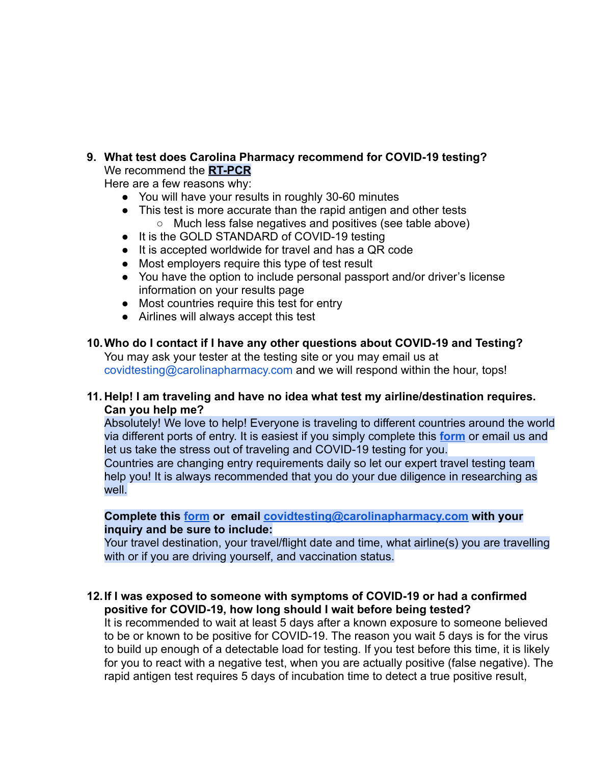<span id="page-6-0"></span>**9. What test does Carolina Pharmacy recommend for COVID-19 testing?** We recommend the **RT-PCR**

Here are a few reasons why:

- You will have your results in roughly 30-60 minutes
- This test is more accurate than the rapid antigen and other tests ○ Much less false negatives and positives (see table above)
- It is the GOLD STANDARD of COVID-19 testing
- It is accepted worldwide for travel and has a QR code
- Most employers require this type of test result
- You have the option to include personal passport and/or driver's license information on your results page
- Most countries require this test for entry
- Airlines will always accept this test

#### <span id="page-6-1"></span>**10.Who do I contact if I have any other questions about COVID-19 and Testing?** You may ask your tester at the testing site or you may email us at

covidtesting@carolinapharmacy.com and we will respond within the hour, tops!

#### <span id="page-6-2"></span>**11. Help! I am traveling and have no idea what test my airline/destination requires. Can you help me?**

Absolutely! We love to help! Everyone is traveling to different countries around the world via different ports of entry. It is easiest if you simply complete this **[form](https://carolinapharmacy.com/travel-testing-assistance/)** or email us and let us take the stress out of traveling and COVID-19 testing for you.

Countries are changing entry requirements daily so let our expert travel testing team help you! It is always recommended that you do your due diligence in researching as well.

#### **Complete this [form](https://carolinapharmacy.com/travel-testing-assistance/) or email [covidtesting@carolinapharmacy.com](mailto:covidtesting@carolinapharmacy.com) with your inquiry and be sure to include:**

Your travel destination, your travel/flight date and time, what airline(s) you are travelling with or if you are driving yourself, and vaccination status.

#### <span id="page-6-3"></span>**12.If I was exposed to someone with symptoms of COVID-19 or had a confirmed positive for COVID-19, how long should I wait before being tested?**

It is recommended to wait at least 5 days after a known exposure to someone believed to be or known to be positive for COVID-19. The reason you wait 5 days is for the virus to build up enough of a detectable load for testing. If you test before this time, it is likely for you to react with a negative test, when you are actually positive (false negative). The rapid antigen test requires 5 days of incubation time to detect a true positive result,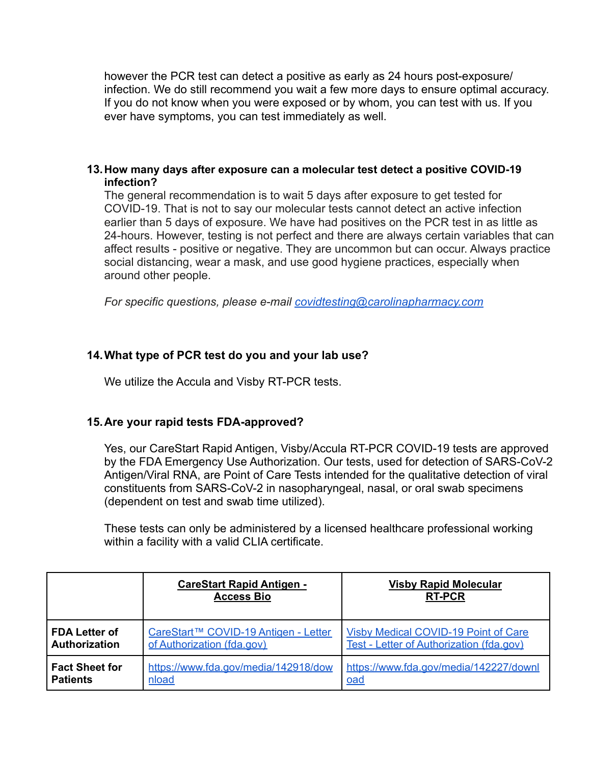however the PCR test can detect a positive as early as 24 hours post-exposure/ infection. We do still recommend you wait a few more days to ensure optimal accuracy. If you do not know when you were exposed or by whom, you can test with us. If you ever have symptoms, you can test immediately as well.

#### <span id="page-7-0"></span>**13.How many days after exposure can a molecular test detect a positive COVID-19 infection?**

The general recommendation is to wait 5 days after exposure to get tested for COVID-19. That is not to say our molecular tests cannot detect an active infection earlier than 5 days of exposure. We have had positives on the PCR test in as little as 24-hours. However, testing is not perfect and there are always certain variables that can affect results - positive or negative. They are uncommon but can occur. Always practice social distancing, wear a mask, and use good hygiene practices, especially when around other people.

*For specific questions, please e-mail [covidtesting@carolinapharmacy.com](mailto:covidtesting@carolinapharmacy.com)*

#### <span id="page-7-1"></span>**14.What type of PCR test do you and your lab use?**

We utilize the Accula and Visby RT-PCR tests.

#### <span id="page-7-2"></span>**15.Are your rapid tests FDA-approved?**

Yes, our CareStart Rapid Antigen, Visby/Accula RT-PCR COVID-19 tests are approved by the FDA Emergency Use Authorization. Our tests, used for detection of SARS-CoV-2 Antigen/Viral RNA, are Point of Care Tests intended for the qualitative detection of viral constituents from SARS-CoV-2 in nasopharyngeal, nasal, or oral swab specimens (dependent on test and swab time utilized).

These tests can only be administered by a licensed healthcare professional working within a facility with a valid CLIA certificate.

|                       | <b>CareStart Rapid Antigen -</b><br><b>Access Bio</b> | <b>Visby Rapid Molecular</b><br><b>RT-PCR</b> |
|-----------------------|-------------------------------------------------------|-----------------------------------------------|
| <b>FDA Letter of</b>  | CareStart™ COVID-19 Antigen - Letter                  | <b>Visby Medical COVID-19 Point of Care</b>   |
| <b>Authorization</b>  | of Authorization (fda.gov)                            | Test - Letter of Authorization (fda.gov)      |
| <b>Fact Sheet for</b> | https://www.fda.gov/media/142918/dow                  | https://www.fda.gov/media/142227/downl        |
| <b>Patients</b>       | nload                                                 | oad                                           |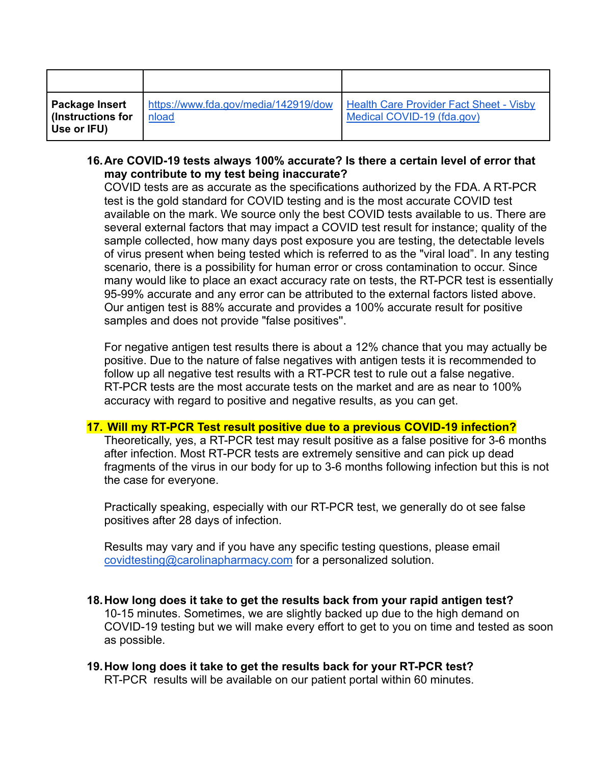| Package Insert<br>$\vert$ (Instructions for<br>Use or IFU) | https://www.fda.gov/media/142919/dow<br>nload | <b>Health Care Provider Fact Sheet - Visby</b><br>Medical COVID-19 (fda.gov) |
|------------------------------------------------------------|-----------------------------------------------|------------------------------------------------------------------------------|

#### <span id="page-8-0"></span>**16.Are COVID-19 tests always 100% accurate? Is there a certain level of error that may contribute to my test being inaccurate?**

COVID tests are as accurate as the specifications authorized by the FDA. A RT-PCR test is the gold standard for COVID testing and is the most accurate COVID test available on the mark. We source only the best COVID tests available to us. There are several external factors that may impact a COVID test result for instance; quality of the sample collected, how many days post exposure you are testing, the detectable levels of virus present when being tested which is referred to as the "viral load". In any testing scenario, there is a possibility for human error or cross contamination to occur. Since many would like to place an exact accuracy rate on tests, the RT-PCR test is essentially 95-99% accurate and any error can be attributed to the external factors listed above. Our antigen test is 88% accurate and provides a 100% accurate result for positive samples and does not provide "false positives''.

For negative antigen test results there is about a 12% chance that you may actually be positive. Due to the nature of false negatives with antigen tests it is recommended to follow up all negative test results with a RT-PCR test to rule out a false negative. RT-PCR tests are the most accurate tests on the market and are as near to 100% accuracy with regard to positive and negative results, as you can get.

#### **17. Will my RT-PCR Test result positive due to a previous COVID-19 infection?**

Theoretically, yes, a RT-PCR test may result positive as a false positive for 3-6 months after infection. Most RT-PCR tests are extremely sensitive and can pick up dead fragments of the virus in our body for up to 3-6 months following infection but this is not the case for everyone.

Practically speaking, especially with our RT-PCR test, we generally do ot see false positives after 28 days of infection.

Results may vary and if you have any specific testing questions, please email [covidtesting@carolinapharmacy.com](mailto:covidtesting@carolinapharmacy.com) for a personalized solution.

- <span id="page-8-1"></span>**18.How long does it take to get the results back from your rapid antigen test?** 10-15 minutes. Sometimes, we are slightly backed up due to the high demand on COVID-19 testing but we will make every effort to get to you on time and tested as soon as possible.
- <span id="page-8-2"></span>**19.How long does it take to get the results back for your RT-PCR test?** RT-PCR results will be available on our patient portal within 60 minutes.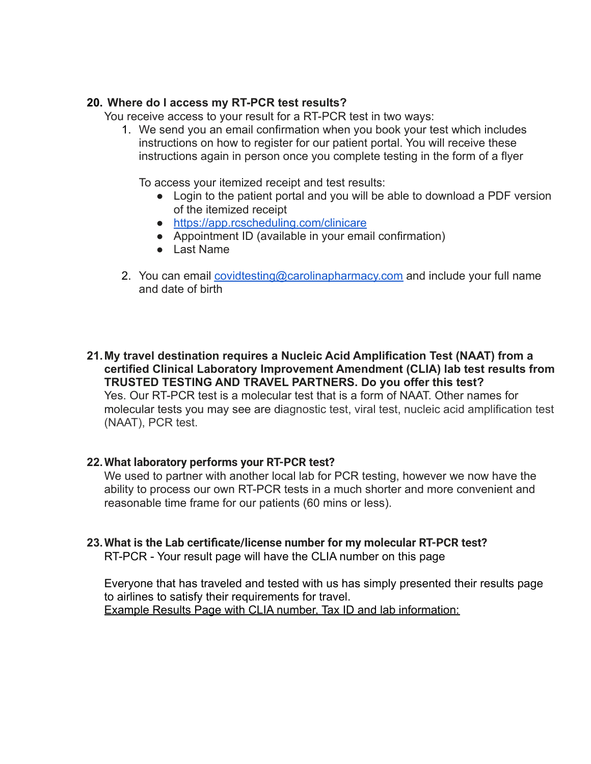#### <span id="page-9-0"></span>**20. Where do I access my RT-PCR test results?**

You receive access to your result for a RT-PCR test in two ways:

1. We send you an email confirmation when you book your test which includes instructions on how to register for our patient portal. You will receive these instructions again in person once you complete testing in the form of a flyer

To access your itemized receipt and test results:

- Login to the patient portal and you will be able to download a PDF version of the itemized receipt
- <https://app.rcscheduling.com/clinicare>
- Appointment ID (available in your email confirmation)
- Last Name
- 2. You can email [covidtesting@carolinapharmacy.com](mailto:covidtesting@carolinapharmacy.com) and include your full name and date of birth

<span id="page-9-1"></span>**21.My travel destination requires a Nucleic Acid Amplification Test (NAAT) from a certified Clinical Laboratory Improvement Amendment (CLIA) lab test results from TRUSTED TESTING AND TRAVEL PARTNERS. Do you offer this test?** Yes. Our RT-PCR test is a molecular test that is a form of NAAT. Other names for molecular tests you may see are diagnostic test, viral test, nucleic acid amplification test (NAAT), PCR test.

#### <span id="page-9-2"></span>**22.What laboratory performs your RT-PCR test?**

We used to partner with another local lab for PCR testing, however we now have the ability to process our own RT-PCR tests in a much shorter and more convenient and reasonable time frame for our patients (60 mins or less).

# <span id="page-9-3"></span>**23.What is the Lab certificate/license number for my molecular RT-PCR test?**

RT-PCR - Your result page will have the CLIA number on this page

Everyone that has traveled and tested with us has simply presented their results page to airlines to satisfy their requirements for travel. Example Results Page with CLIA number, Tax ID and lab information: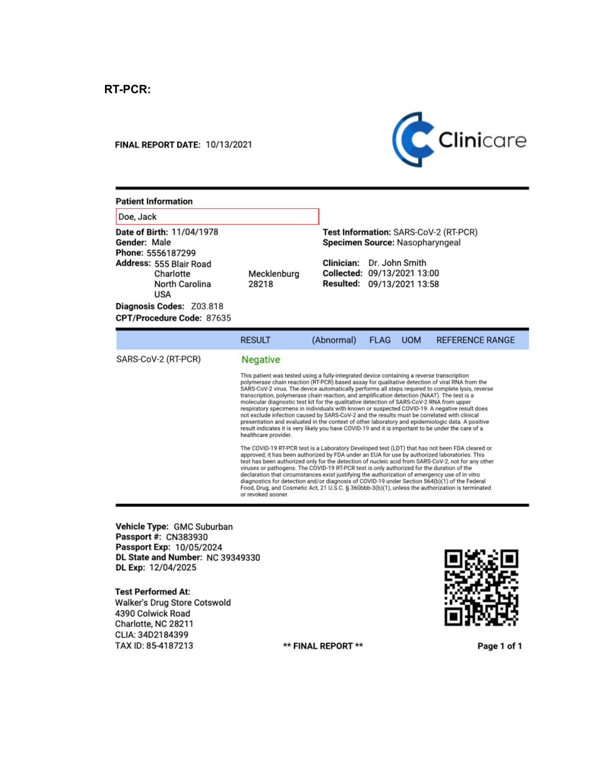#### **FINAL REPORT DATE: 10/13/2021**



Test Information: SARS-CoV-2 (RT-PCR)

Specimen Source: Nasopharyngeal

Clinician: Dr. John Smith

Collected: 09/13/2021 13:00

Resulted: 09/13/2021 13:58

#### **Patient Information**

Doe, Jack

Date of Birth: 11/04/1978 Gender: Male Phone: 5556187299 Address: 555 Blair Road Charlotte North Carolina **USA** Diagnosis Codes: Z03.818

CPT/Procedure Code: 87635

|                     | <b>RESULT</b>        | (Abnormal)                                                                                                                                                                                                                                                                                                                                                                                                                                                                                                                                                                                                                                                                                                                                                                                                                                                                                             | <b>FLAG</b> | <b>UOM</b> | <b>REFERENCE RANGE</b> |  |
|---------------------|----------------------|--------------------------------------------------------------------------------------------------------------------------------------------------------------------------------------------------------------------------------------------------------------------------------------------------------------------------------------------------------------------------------------------------------------------------------------------------------------------------------------------------------------------------------------------------------------------------------------------------------------------------------------------------------------------------------------------------------------------------------------------------------------------------------------------------------------------------------------------------------------------------------------------------------|-------------|------------|------------------------|--|
| SARS-CoV-2 (RT-PCR) | <b>Negative</b>      |                                                                                                                                                                                                                                                                                                                                                                                                                                                                                                                                                                                                                                                                                                                                                                                                                                                                                                        |             |            |                        |  |
|                     | healthcare provider. | This patient was tested using a fully-integrated device containing a reverse transcription<br>polymerase chain reaction (RT-PCR) based assay for qualitative detection of viral RNA from the<br>SARS-CoV-2 virus. The device automatically performs all steps required to complete lysis, reverse<br>transcription, polymerase chain reaction, and amplification detection (NAAT). The test is a<br>molecular diagnostic test kit for the qualitative detection of SARS-CoV-2 RNA from upper<br>respiratory specimens in individuals with known or suspected COVID-19. A negative result does<br>not exclude infection caused by SARS-CoV-2 and the results must be correlated with clinical<br>presentation and evaluated in the context of other laboratory and epidemiologic data. A positive<br>result indicates it is very likely you have COVID-19 and it is important to be under the care of a |             |            |                        |  |
|                     | or revoked sooner.   | The COVID-19 RT-PCR test is a Laboratory Developed test (LDT) that has not been FDA cleared or<br>approved; it has been authorized by FDA under an EUA for use by authorized laboratories. This<br>test has been authorized only for the detection of nucleic acid from SARS-CoV-2, not for any other<br>viruses or pathogens. The COVID-19 RT-PCR test is only authorized for the duration of the<br>declaration that circumstances exist justifying the authorization of emergency use of in vitro<br>diagnostics for detection and/or diagnosis of COVID-19 under Section 564(b)(1) of the Federal<br>Food, Drug, and Cosmetic Act, 21 U.S.C. § 360bbb-3(b)(1), unless the authorization is terminated                                                                                                                                                                                              |             |            |                        |  |

\*\* FINAL REPORT \*\*

Mecklenburg

28218

Vehicle Type: GMC Suburban Passport #: CN383930 Passport Exp: 10/05/2024 DL State and Number: NC 39349330 DL Exp: 12/04/2025

**Test Performed At:** Walker's Drug Store Cotswold 4390 Colwick Road Charlotte, NC 28211 CLIA: 34D2184399 TAX ID: 85-4187213



Page 1 of 1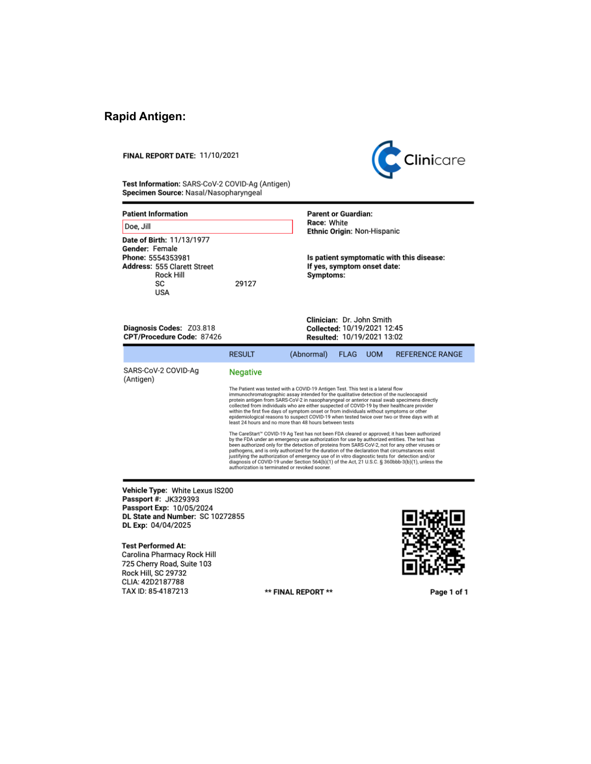## **Rapid Antigen:**

#### FINAL REPORT DATE: 11/10/2021



Test Information: SARS-CoV-2 COVID-Ag (Antigen) Specimen Source: Nasal/Nasopharyngeal

| <b>Patient Information</b>                                                                                                        | <b>Parent or Guardian:</b>                                                                     |
|-----------------------------------------------------------------------------------------------------------------------------------|------------------------------------------------------------------------------------------------|
| Doe, Jill                                                                                                                         | Race: White<br>Ethnic Origin: Non-Hispanic                                                     |
| Date of Birth: 11/13/1977<br>Gender: Female<br>Phone: 5554353981<br><b>Address: 555 Clarett Street</b><br>Rock Hill<br>SC.<br>USA | Is patient symptomatic with this disease:<br>If yes, symptom onset date:<br>Symptoms:<br>29127 |
| Diagnosis Codes: Z03.818                                                                                                          | Clinician: Dr. John Smith<br>Collected: 10/19/2021 12:45                                       |

CPT/Procedure Code: 87426

Resulted: 10/19/2021 13:02

|                                  | <b>RESULT</b>                                                                                                                                                                                                                                                                                                                                                                                                                                                                                                                                                                                                                                               | (Abnormal) | <b>FLAG</b> | <b>UOM</b> | <b>REFERENCE RANGE</b> |
|----------------------------------|-------------------------------------------------------------------------------------------------------------------------------------------------------------------------------------------------------------------------------------------------------------------------------------------------------------------------------------------------------------------------------------------------------------------------------------------------------------------------------------------------------------------------------------------------------------------------------------------------------------------------------------------------------------|------------|-------------|------------|------------------------|
| SARS-CoV-2 COVID-Ag<br>(Antigen) | <b>Negative</b>                                                                                                                                                                                                                                                                                                                                                                                                                                                                                                                                                                                                                                             |            |             |            |                        |
|                                  | The Patient was tested with a COVID-19 Antigen Test. This test is a lateral flow<br>immunochromatographic assay intended for the qualitative detection of the nucleocapsid<br>protein antigen from SARS-CoV-2 in nasopharyngeal or anterior nasal swab specimens directly<br>collected from individuals who are either suspected of COVID-19 by their healthcare provider<br>within the first five days of symptom onset or from individuals without symptoms or other<br>epidemiological reasons to suspect COVID-19 when tested twice over two or three days with at<br>least 24 hours and no more than 48 hours between tests                            |            |             |            |                        |
|                                  | The CareStart" COVID-19 Ag Test has not been FDA cleared or approved; it has been authorized<br>by the FDA under an emergency use authorization for use by authorized entities. The test has<br>been authorized only for the detection of proteins from SARS-CoV-2, not for any other viruses or<br>pathogens, and is only authorized for the duration of the declaration that circumstances exist<br>justifying the authorization of emergency use of in vitro diagnostic tests for detection and/or<br>diagnosis of COVID-19 under Section 564(b)(1) of the Act, 21 U.S.C. § 360bbb-3(b)(1), unless the<br>authorization is terminated or revoked sooner. |            |             |            |                        |

Vehicle Type: White Lexus IS200<br>Passport #: JK329393 Passport Exp: 10/05/2024<br>DL State and Number: SC 10272855 DL Exp: 04/04/2025

Test Performed At:<br>Carolina Pharmacy Rock Hill 725 Cherry Road, Suite 103 **Rock Hill, SC 29732** CLIA: 42D2187788 TAX ID: 85-4187213

\*\* FINAL REPORT \*\*



Page 1 of 1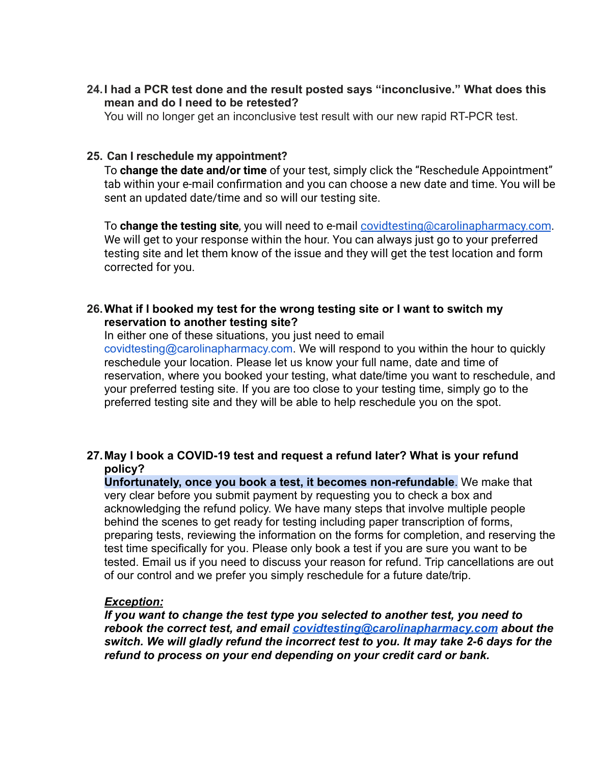<span id="page-12-0"></span>**24.I had a PCR test done and the result posted says "inconclusive." What does this mean and do I need to be retested?**

You will no longer get an inconclusive test result with our new rapid RT-PCR test.

#### <span id="page-12-1"></span>**25. Can I reschedule my appointment?**

To **change the date and/or time** of your test, simply click the "Reschedule Appointment" tab within your e-mail confirmation and you can choose a new date and time. You will be sent an updated date/time and so will our testing site.

To **change the testing site**, you will need to e-mail [covidtesting@carolinapharmacy.com](mailto:covidtesting@carolinapharmacy.com). We will get to your response within the hour. You can always just go to your preferred testing site and let them know of the issue and they will get the test location and form corrected for you.

#### <span id="page-12-2"></span>**26.What if I booked my test for the wrong testing site or I want to switch my reservation to another testing site?**

In either one of these situations, you just need to email covidtesting@carolinapharmacy.com. We will respond to you within the hour to quickly reschedule your location. Please let us know your full name, date and time of reservation, where you booked your testing, what date/time you want to reschedule, and your preferred testing site. If you are too close to your testing time, simply go to the preferred testing site and they will be able to help reschedule you on the spot.

#### <span id="page-12-3"></span>**27.May I book a COVID-19 test and request a refund later? What is your refund policy?**

**Unfortunately, once you book a test, it becomes non-refundable**. We make that very clear before you submit payment by requesting you to check a box and acknowledging the refund policy. We have many steps that involve multiple people behind the scenes to get ready for testing including paper transcription of forms, preparing tests, reviewing the information on the forms for completion, and reserving the test time specifically for you. Please only book a test if you are sure you want to be tested. Email us if you need to discuss your reason for refund. Trip cancellations are out of our control and we prefer you simply reschedule for a future date/trip.

#### *Exception:*

*If you want to change the test type you selected to another test, you need to rebook the correct test, and email [covidtesting@carolinapharmacy.com](mailto:covidtesting@carolinapharmacy.com) about the switch. We will gladly refund the incorrect test to you. It may take 2-6 days for the refund to process on your end depending on your credit card or bank.*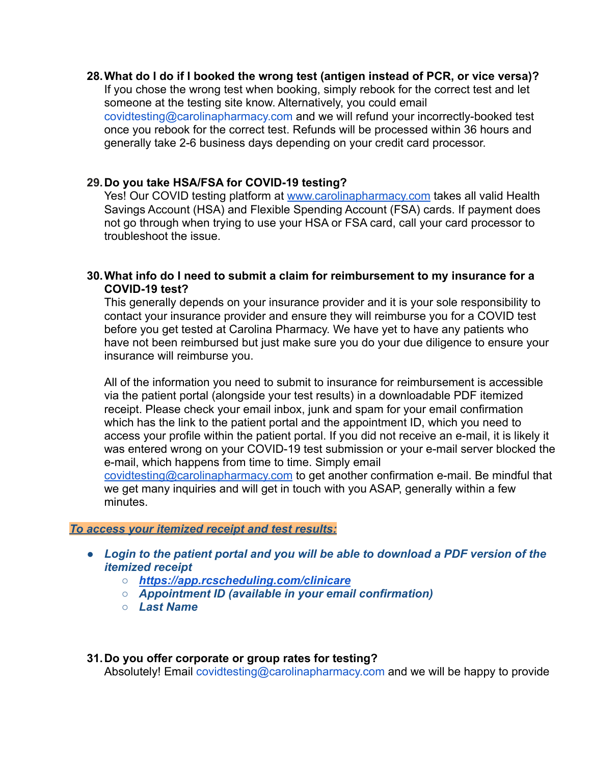#### <span id="page-13-0"></span>**28.What do I do if I booked the wrong test (antigen instead of PCR, or vice versa)?**

If you chose the wrong test when booking, simply rebook for the correct test and let someone at the testing site know. Alternatively, you could email covidtesting@carolinapharmacy.com and we will refund your incorrectly-booked test once you rebook for the correct test. Refunds will be processed within 36 hours and generally take 2-6 business days depending on your credit card processor.

#### <span id="page-13-1"></span>**29.Do you take HSA/FSA for COVID-19 testing?**

Yes! Our COVID testing platform at [www.carolinapharmacy.com](http://www.carolinapharmacy.com/) takes all valid Health Savings Account (HSA) and Flexible Spending Account (FSA) cards. If payment does not go through when trying to use your HSA or FSA card, call your card processor to troubleshoot the issue.

#### <span id="page-13-2"></span>**30.What info do I need to submit a claim for reimbursement to my insurance for a COVID-19 test?**

This generally depends on your insurance provider and it is your sole responsibility to contact your insurance provider and ensure they will reimburse you for a COVID test before you get tested at Carolina Pharmacy. We have yet to have any patients who have not been reimbursed but just make sure you do your due diligence to ensure your insurance will reimburse you.

All of the information you need to submit to insurance for reimbursement is accessible via the patient portal (alongside your test results) in a downloadable PDF itemized receipt. Please check your email inbox, junk and spam for your email confirmation which has the link to the patient portal and the appointment ID, which you need to access your profile within the patient portal. If you did not receive an e-mail, it is likely it was entered wrong on your COVID-19 test submission or your e-mail server blocked the e-mail, which happens from time to time. Simply email [covidtesting@carolinapharmacy.com](mailto:covidtesting@carolinapharmacy.com) to get another confirmation e-mail. Be mindful that we get many inquiries and will get in touch with you ASAP, generally within a few

minutes.

#### *To access your itemized receipt and test results:*

- *● Login to the patient portal and you will be able to download a PDF version of the itemized receipt*
	- *○ <https://app.rcscheduling.com/clinicare>*
	- *○ Appointment ID (available in your email confirmation)*
	- *○ Last Name*

#### <span id="page-13-3"></span>**31.Do you offer corporate or group rates for testing?** Absolutely! Email covidtesting@carolinapharmacy.com and we will be happy to provide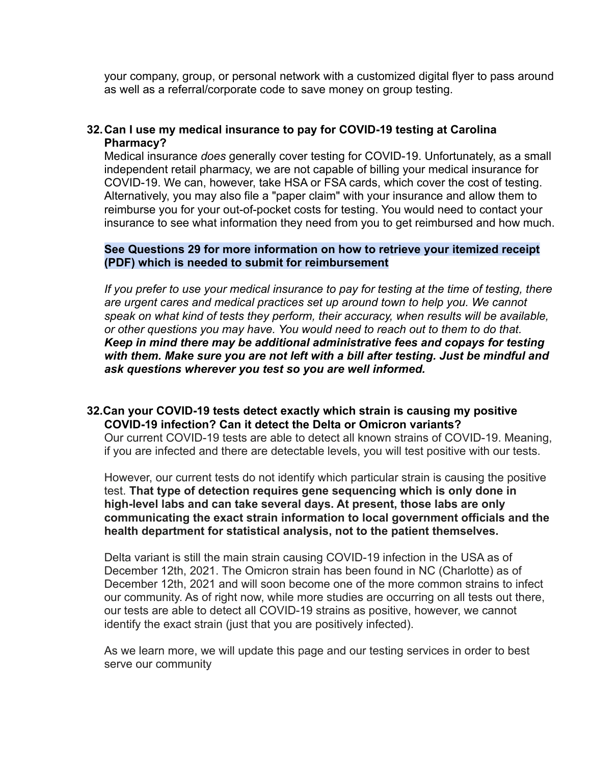your company, group, or personal network with a customized digital flyer to pass around as well as a referral/corporate code to save money on group testing.

#### <span id="page-14-0"></span>**32.Can I use my medical insurance to pay for COVID-19 testing at Carolina Pharmacy?**

Medical insurance *does* generally cover testing for COVID-19. Unfortunately, as a small independent retail pharmacy, we are not capable of billing your medical insurance for COVID-19. We can, however, take HSA or FSA cards, which cover the cost of testing. Alternatively, you may also file a "paper claim" with your insurance and allow them to reimburse you for your out-of-pocket costs for testing. You would need to contact your insurance to see what information they need from you to get reimbursed and how much.

#### **See Questions 29 for more information on how to retrieve your itemized receipt (PDF) which is needed to submit for reimbursement**

*If you prefer to use your medical insurance to pay for testing at the time of testing, there are urgent cares and medical practices set up around town to help you. We cannot speak on what kind of tests they perform, their accuracy, when results will be available, or other questions you may have. You would need to reach out to them to do that. Keep in mind there may be additional administrative fees and copays for testing with them. Make sure you are not left with a bill after testing. Just be mindful and ask questions wherever you test so you are well informed.*

#### <span id="page-14-1"></span>**32.Can your COVID-19 tests detect exactly which strain is causing my positive COVID-19 infection? Can it detect the Delta or Omicron variants?**

Our current COVID-19 tests are able to detect all known strains of COVID-19. Meaning, if you are infected and there are detectable levels, you will test positive with our tests.

However, our current tests do not identify which particular strain is causing the positive test. **That type of detection requires gene sequencing which is only done in high-level labs and can take several days. At present, those labs are only communicating the exact strain information to local government officials and the health department for statistical analysis, not to the patient themselves.**

Delta variant is still the main strain causing COVID-19 infection in the USA as of December 12th, 2021. The Omicron strain has been found in NC (Charlotte) as of December 12th, 2021 and will soon become one of the more common strains to infect our community. As of right now, while more studies are occurring on all tests out there, our tests are able to detect all COVID-19 strains as positive, however, we cannot identify the exact strain (just that you are positively infected).

As we learn more, we will update this page and our testing services in order to best serve our community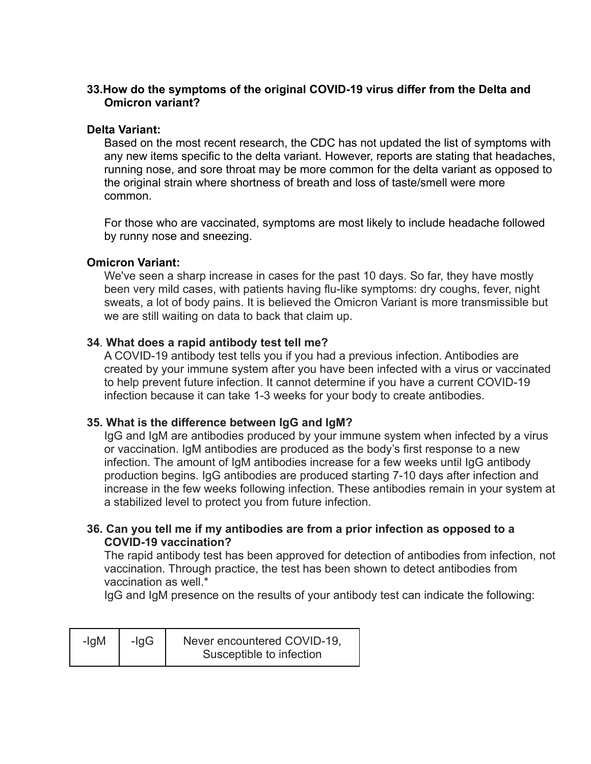#### <span id="page-15-0"></span>**33.How do the symptoms of the original COVID-19 virus differ from the Delta and Omicron variant?**

#### **Delta Variant:**

Based on the most recent research, the CDC has not updated the list of symptoms with any new items specific to the delta variant. However, reports are stating that headaches, running nose, and sore throat may be more common for the delta variant as opposed to the original strain where shortness of breath and loss of taste/smell were more common.

For those who are vaccinated, symptoms are most likely to include headache followed by runny nose and sneezing.

#### **Omicron Variant:**

We've seen a sharp increase in cases for the past 10 days. So far, they have mostly been very mild cases, with patients having flu-like symptoms: dry coughs, fever, night sweats, a lot of body pains. It is believed the Omicron Variant is more transmissible but we are still waiting on data to back that claim up.

#### <span id="page-15-1"></span>**34**. **What does a rapid antibody test tell me?**

A COVID-19 antibody test tells you if you had a previous infection. Antibodies are created by your immune system after you have been infected with a virus or vaccinated to help prevent future infection. It cannot determine if you have a current COVID-19 infection because it can take 1-3 weeks for your body to create antibodies.

#### <span id="page-15-2"></span>**35. What is the difference between IgG and IgM?**

IgG and IgM are antibodies produced by your immune system when infected by a virus or vaccination. IgM antibodies are produced as the body's first response to a new infection. The amount of IgM antibodies increase for a few weeks until IgG antibody production begins. IgG antibodies are produced starting 7-10 days after infection and increase in the few weeks following infection. These antibodies remain in your system at a stabilized level to protect you from future infection.

#### <span id="page-15-3"></span>**36. Can you tell me if my antibodies are from a prior infection as opposed to a COVID-19 vaccination?**

The rapid antibody test has been approved for detection of antibodies from infection, not vaccination. Through practice, the test has been shown to detect antibodies from vaccination as well.\*

IgG and IgM presence on the results of your antibody test can indicate the following:

| -IgM | $-lqG$ | Never encountered COVID-19, |
|------|--------|-----------------------------|
|      |        | Susceptible to infection    |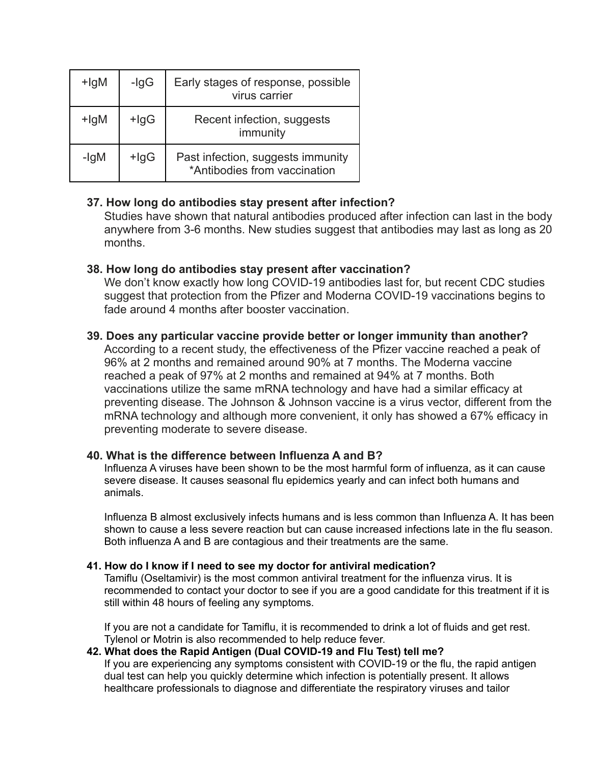| +lgM    | -IgG    | Early stages of response, possible<br>virus carrier               |
|---------|---------|-------------------------------------------------------------------|
| $+$ lgM | $+$ lgG | Recent infection, suggests<br>immunity                            |
| -IgM    | $+$ lgG | Past infection, suggests immunity<br>*Antibodies from vaccination |

#### <span id="page-16-0"></span>**37. How long do antibodies stay present after infection?**

Studies have shown that natural antibodies produced after infection can last in the body anywhere from 3-6 months. New studies suggest that antibodies may last as long as 20 months.

#### <span id="page-16-1"></span>**38. How long do antibodies stay present after vaccination?**

We don't know exactly how long COVID-19 antibodies last for, but recent CDC studies suggest that protection from the Pfizer and Moderna COVID-19 vaccinations begins to fade around 4 months after booster vaccination.

#### <span id="page-16-2"></span>**39. Does any particular vaccine provide better or longer immunity than another?**

According to a recent study, the effectiveness of the Pfizer vaccine reached a peak of 96% at 2 months and remained around 90% at 7 months. The Moderna vaccine reached a peak of 97% at 2 months and remained at 94% at 7 months. Both vaccinations utilize the same mRNA technology and have had a similar efficacy at preventing disease. The Johnson & Johnson vaccine is a virus vector, different from the mRNA technology and although more convenient, it only has showed a 67% efficacy in preventing moderate to severe disease.

#### <span id="page-16-3"></span>**40. What is the difference between Influenza A and B?**

Influenza A viruses have been shown to be the most harmful form of influenza, as it can cause severe disease. It causes seasonal flu epidemics yearly and can infect both humans and animals.

Influenza B almost exclusively infects humans and is less common than Influenza A. It has been shown to cause a less severe reaction but can cause increased infections late in the flu season. Both influenza A and B are contagious and their treatments are the same.

#### <span id="page-16-4"></span>**41. How do I know if I need to see my doctor for antiviral medication?**

Tamiflu (Oseltamivir) is the most common antiviral treatment for the influenza virus. It is recommended to contact your doctor to see if you are a good candidate for this treatment if it is still within 48 hours of feeling any symptoms.

If you are not a candidate for Tamiflu, it is recommended to drink a lot of fluids and get rest. Tylenol or Motrin is also recommended to help reduce fever.

#### <span id="page-16-5"></span>**42. What does the Rapid Antigen (Dual COVID-19 and Flu Test) tell me?**

If you are experiencing any symptoms consistent with COVID-19 or the flu, the rapid antigen dual test can help you quickly determine which infection is potentially present. It allows healthcare professionals to diagnose and differentiate the respiratory viruses and tailor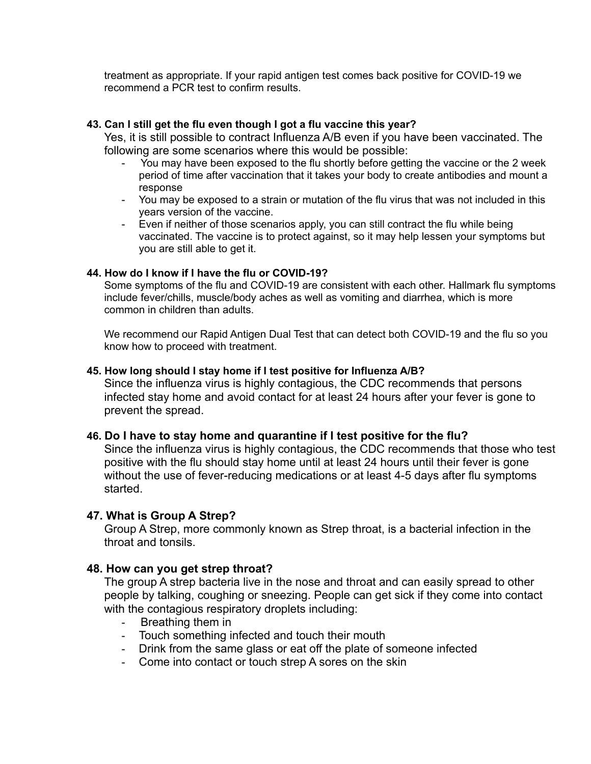treatment as appropriate. If your rapid antigen test comes back positive for COVID-19 we recommend a PCR test to confirm results.

#### <span id="page-17-0"></span>**43. Can I still get the flu even though I got a flu vaccine this year?**

Yes, it is still possible to contract Influenza A/B even if you have been vaccinated. The following are some scenarios where this would be possible:

- You may have been exposed to the flu shortly before getting the vaccine or the 2 week period of time after vaccination that it takes your body to create antibodies and mount a response
- You may be exposed to a strain or mutation of the flu virus that was not included in this years version of the vaccine.
- Even if neither of those scenarios apply, you can still contract the flu while being vaccinated. The vaccine is to protect against, so it may help lessen your symptoms but you are still able to get it.

#### <span id="page-17-1"></span>**44. How do I know if I have the flu or COVID-19?**

Some symptoms of the flu and COVID-19 are consistent with each other. Hallmark flu symptoms include fever/chills, muscle/body aches as well as vomiting and diarrhea, which is more common in children than adults.

We recommend our Rapid Antigen Dual Test that can detect both COVID-19 and the flu so you know how to proceed with treatment.

#### <span id="page-17-2"></span>**45. How long should I stay home if I test positive for Influenza A/B?**

Since the influenza virus is highly contagious, the CDC recommends that persons infected stay home and avoid contact for at least 24 hours after your fever is gone to prevent the spread.

#### <span id="page-17-3"></span>**46. Do I have to stay home and quarantine if I test positive for the flu?**

Since the influenza virus is highly contagious, the CDC recommends that those who test positive with the flu should stay home until at least 24 hours until their fever is gone without the use of fever-reducing medications or at least 4-5 days after flu symptoms started.

#### <span id="page-17-4"></span>**47. What is Group A Strep?**

Group A Strep, more commonly known as Strep throat, is a bacterial infection in the throat and tonsils.

#### <span id="page-17-5"></span>**48. How can you get strep throat?**

The group A strep bacteria live in the nose and throat and can easily spread to other people by talking, coughing or sneezing. People can get sick if they come into contact with the contagious respiratory droplets including:

- Breathing them in
- Touch something infected and touch their mouth
- Drink from the same glass or eat off the plate of someone infected
- Come into contact or touch strep A sores on the skin